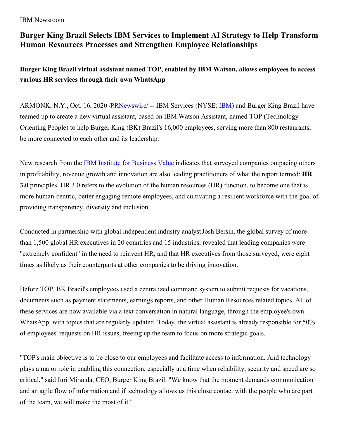## IBM Newsroom

## **Burger King Brazil Selects IBM Services to Implement AI Strategy to Help Transform Human Resources Processes and Strengthen Employee Relationships**

**Burger King Brazil virtual assistant named TOP, enabled by IBM Watson, allows employees to access various HR services through their own WhatsApp**

ARMONK, N.Y., Oct. 16, 2020 [/PRNewswire](http://www.prnewswire.com/)/ -- IBM Services (NYSE: [IBM](https://c212.net/c/link/?t=0&l=en&o=2951881-1&h=2921601300&u=http%3A%2F%2Fwww.ibm.com%2Finvestor&a=IBM)) and Burger King Brazil have teamed up to create a new virtual assistant, based on IBM Watson Assistant, named TOP (Technology Orienting People) to help Burger King (BK) Brazil's 16,000 employees, serving more than 800 restaurants, be more connected to each other and its leadership.

New research from the IBM Institute for [Business](https://c212.net/c/link/?t=0&l=en&o=2951881-1&h=840610633&u=https%3A%2F%2Fwww.ibm.com%2Fthought-leadership%2Finstitute-business-value%2Freport%2Fhr-3&a=IBM+Institute+for+Business+Value) Value indicates that surveyed companies outpacing others in profitability, revenue growth and innovation are also leading practitioners of what the report termed: **HR 3.0** principles. HR 3.0 refers to the evolution of the human resources (HR) function, to become one that is more human-centric, better engaging remote employees, and cultivating a resilient workforce with the goal of providing transparency, diversity and inclusion.

Conducted in partnership with global independent industry analystJosh Bersin, the global survey of more than 1,500 global HR executives in 20 countries and 15 industries, revealed that leading companies were "extremely confident" in the need to reinvent HR, and that HR executives from those surveyed, were eight times as likely as their counterparts at other companies to be driving innovation.

Before TOP, BK Brazil's employees used a centralized command system to submit requests for vacations, documents such as payment statements, earnings reports, and other Human Resources related topics. All of these services are now available via a text conversation in natural language, through the employee's own WhatsApp, with topics that are regularly updated. Today, the virtual assistant is already responsible for 50% of employees' requests on HR issues, freeing up the team to focus on more strategic goals.

"TOP's main objective is to be close to our employees and facilitate access to information. And technology plays a major role in enabling this connection, especially at a time when reliability, security and speed are so critical," said Iuri Miranda, CEO, Burger King Brazil. "We know that the moment demands communication and an agile flow of information and if technology allows us this close contact with the people who are part of the team, we will make the most of it."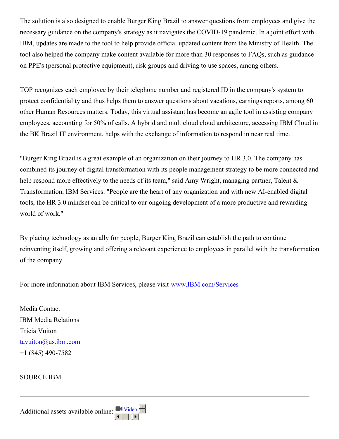The solution is also designed to enable Burger King Brazil to answer questions from employees and give the necessary guidance on the company's strategy as it navigates the COVID-19 pandemic. In a joint effort with IBM, updates are made to the tool to help provide official updated content from the Ministry of Health. The tool also helped the company make content available for more than 30 responses to FAQs, such as guidance on PPE's (personal protective equipment), risk groups and driving to use spaces, among others.

TOP recognizes each employee by their telephone number and registered ID in the company's system to protect confidentiality and thus helps them to answer questions about vacations, earnings reports, among 60 other Human Resources matters. Today, this virtual assistant has become an agile tool in assisting company employees, accounting for 50% of calls. A hybrid and multicloud cloud architecture, accessing IBM Cloud in the BK Brazil IT environment, helps with the exchange of information to respond in near real time.

"Burger King Brazil is a great example of an organization on their journey to HR 3.0. The company has combined its journey of digital transformation with its people management strategy to be more connected and help respond more effectively to the needs of its team," said Amy Wright, managing partner, Talent & Transformation, IBM Services. "People are the heart of any organization and with new AI-enabled digital tools, the HR 3.0 mindset can be critical to our ongoing development of a more productive and rewarding world of work."

By placing technology as an ally for people, Burger King Brazil can establish the path to continue reinventing itself, growing and offering a relevant experience to employees in parallel with the transformation of the company.

For more information about IBM Services, please visit [www.IBM.com/Services](http://www.ibm.com/Services)

Media Contact IBM Media Relations Tricia Vuiton [tavuiton@us.ibm.com](mailto:tavuiton@us.ibm.com) +1 (845) 490-7582

SOURCE IBM